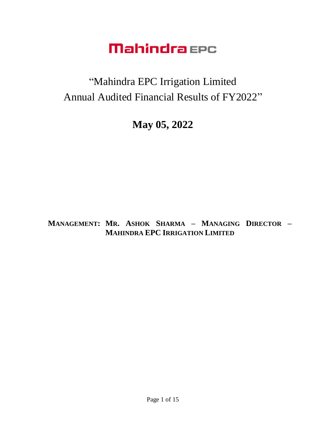## "Mahindra EPC Irrigation Limited Annual Audited Financial Results of FY2022"

**May 05, 2022**

**MANAGEMENT: MR. ASHOK SHARMA – MANAGING DIRECTOR – MAHINDRA EPC IRRIGATION LIMITED**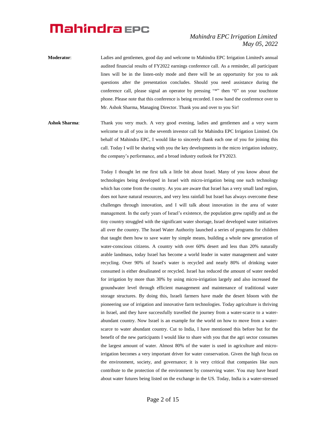#### *Mahindra EPC Irrigation Limited May 05, 2022*

- **Moderator**: Ladies and gentlemen, good day and welcome to Mahindra EPC Irrigation Limited's annual audited financial results of FY2022 earnings conference call. As a reminder, all participant lines will be in the listen-only mode and there will be an opportunity for you to ask questions after the presentation concludes. Should you need assistance during the conference call, please signal an operator by pressing "\*" then "0" on your touchtone phone. Please note that this conference is being recorded. I now hand the conference over to Mr. Ashok Sharma, Managing Director. Thank you and over to you Sir!
- **Ashok Sharma**: Thank you very much. A very good evening, ladies and gentlemen and a very warm welcome to all of you in the seventh investor call for Mahindra EPC Irrigation Limited. On behalf of Mahindra EPC, I would like to sincerely thank each one of you for joining this call. Today I will be sharing with you the key developments in the micro irrigation industry, the company's performance, and a broad industry outlook for FY2023.

Today I thought let me first talk a little bit about Israel. Many of you know about the technologies being developed in Israel with micro-irrigation being one such technology which has come from the country. As you are aware that Israel has a very small land region, does not have natural resources, and very less rainfall but Israel has always overcome these challenges through innovation, and I will talk about innovation in the area of water management. In the early years of Israel's existence, the population grew rapidly and as the tiny country struggled with the significant water shortage, Israel developed water initiatives all over the country. The Israel Water Authority launched a series of programs for children that taught them how to save water by simple means, building a whole new generation of water-conscious citizens. A country with over 60% desert and less than 20% naturally arable landmass, today Israel has become a world leader in water management and water recycling. Over 90% of Israel's water is recycled and nearly 80% of drinking water consumed is either desalinated or recycled. Israel has reduced the amount of water needed for irrigation by more than 30% by using micro-irrigation largely and also increased the groundwater level through efficient management and maintenance of traditional water storage structures. By doing this, Israeli farmers have made the desert bloom with the pioneering use of irrigation and innovative farm technologies. Today agriculture is thriving in Israel, and they have successfully travelled the journey from a water-scarce to a waterabundant country. Now Israel is an example for the world on how to move from a waterscarce to water abundant country. Cut to India, I have mentioned this before but for the benefit of the new participants I would like to share with you that the agri sector consumes the largest amount of water. Almost 80% of the water is used in agriculture and microirrigation becomes a very important driver for water conservation. Given the high focus on the environment, society, and governance; it is very critical that companies like ours contribute to the protection of the environment by conserving water. You may have heard about water futures being listed on the exchange in the US. Today, India is a water-stressed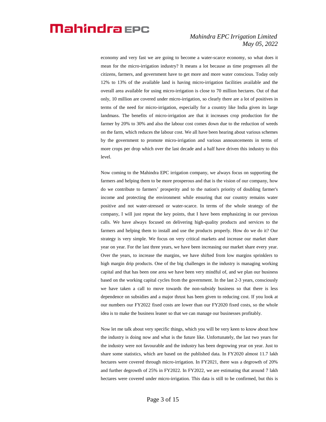### *Mahindra EPC Irrigation Limited May 05, 2022*

economy and very fast we are going to become a water-scarce economy, so what does it mean for the micro-irrigation industry? It means a lot because as time progresses all the citizens, farmers, and government have to get more and more water conscious. Today only 12% to 13% of the available land is having micro-irrigation facilities available and the overall area available for using micro-irrigation is close to 70 million hectares. Out of that only, 10 million are covered under micro-irrigation, so clearly there are a lot of positives in terms of the need for micro-irrigation, especially for a country like India given its large landmass. The benefits of micro-irrigation are that it increases crop production for the farmer by 20% to 30% and also the labour cost comes down due to the reduction of weeds on the farm, which reduces the labour cost. We all have been hearing about various schemes by the government to promote micro-irrigation and various announcements in terms of more crops per drop which over the last decade and a half have driven this industry to this level.

Now coming to the Mahindra EPC irrigation company, we always focus on supporting the farmers and helping them to be more prosperous and that is the vision of our company, how do we contribute to farmers' prosperity and to the nation's priority of doubling farmer's income and protecting the environment while ensuring that our country remains water positive and not water-stressed or water-scarce. In terms of the whole strategy of the company, I will just repeat the key points, that I have been emphasizing in our previous calls. We have always focused on delivering high-quality products and services to the farmers and helping them to install and use the products properly. How do we do it? Our strategy is very simple. We focus on very critical markets and increase our market share year on year. For the last three years, we have been increasing our market share every year. Over the years, to increase the margins, we have shifted from low margins sprinklers to high margin drip products. One of the big challenges in the industry is managing working capital and that has been one area we have been very mindful of, and we plan our business based on the working capital cycles from the government. In the last 2-3 years, consciously we have taken a call to move towards the non-subsidy business so that there is less dependence on subsidies and a major thrust has been given to reducing cost. If you look at our numbers our FY2022 fixed costs are lower than our FY2020 fixed costs, so the whole idea is to make the business leaner so that we can manage our businesses profitably.

Now let me talk about very specific things, which you will be very keen to know about how the industry is doing now and what is the future like. Unfortunately, the last two years for the industry were not favourable and the industry has been degrowing year on year. Just to share some statistics, which are based on the published data. In FY2020 almost 11.7 lakh hectares were covered through micro-irrigation. In FY2021, there was a degrowth of 20% and further degrowth of 25% in FY2022. In FY2022, we are estimating that around 7 lakh hectares were covered under micro-irrigation. This data is still to be confirmed, but this is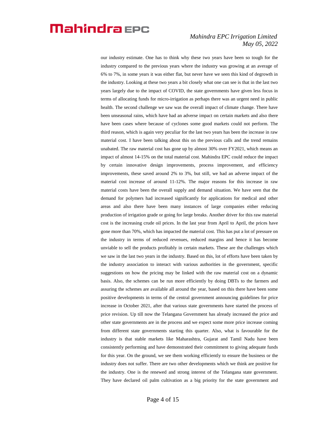### *Mahindra EPC Irrigation Limited May 05, 2022*

our industry estimate. One has to think why these two years have been so tough for the industry compared to the previous years where the industry was growing at an average of 6% to 7%, in some years it was either flat, but never have we seen this kind of degrowth in the industry. Looking at these two years a bit closely what one can see is that in the last two years largely due to the impact of COVID, the state governments have given less focus in terms of allocating funds for micro-irrigation as perhaps there was an urgent need in public health. The second challenge we saw was the overall impact of climate change. There have been unseasonal rains, which have had an adverse impact on certain markets and also there have been cases where because of cyclones some good markets could not perform. The third reason, which is again very peculiar for the last two years has been the increase in raw material cost. I have been talking about this on the previous calls and the trend remains unabated. The raw material cost has gone up by almost 30% over FY2021, which means an impact of almost 14-15% on the total material cost. Mahindra EPC could reduce the impact by certain innovative design improvements, process improvement, and efficiency improvements, these saved around 2% to 3%, but still, we had an adverse impact of the material cost increase of around 11-12%. The major reasons for this increase in raw material costs have been the overall supply and demand situation. We have seen that the demand for polymers had increased significantly for applications for medical and other areas and also there have been many instances of large companies either reducing production of irrigation grade or going for large breaks. Another driver for this raw material cost is the increasing crude oil prices. In the last year from April to April, the prices have gone more than 70%, which has impacted the material cost. This has put a lot of pressure on the industry in terms of reduced revenues, reduced margins and hence it has become unviable to sell the products profitably in certain markets. These are the challenges which we saw in the last two years in the industry. Based on this, lot of efforts have been taken by the industry association to interact with various authorities in the government, specific suggestions on how the pricing may be linked with the raw material cost on a dynamic basis. Also, the schemes can be run more efficiently by doing DBTs to the farmers and assuring the schemes are available all around the year, based on this there have been some positive developments in terms of the central government announcing guidelines for price increase in October 2021, after that various state governments have started the process of price revision. Up till now the Telangana Government has already increased the price and other state governments are in the process and we expect some more price increase coming from different state governments starting this quarter. Also, what is favourable for the industry is that stable markets like Maharashtra, Gujarat and Tamil Nadu have been consistently performing and have demonstrated their commitment to giving adequate funds for this year. On the ground, we see them working efficiently to ensure the business or the industry does not suffer. There are two other developments which we think are positive for the industry. One is the renewed and strong interest of the Telangana state government. They have declared oil palm cultivation as a big priority for the state government and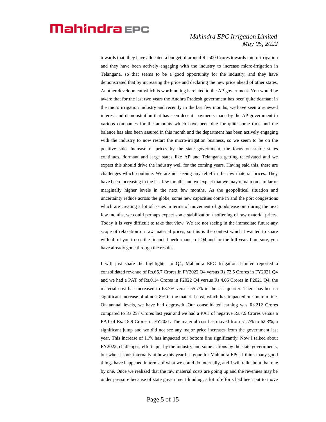### *Mahindra EPC Irrigation Limited May 05, 2022*

towards that, they have allocated a budget of around Rs.500 Crores towards micro-irrigation and they have been actively engaging with the industry to increase micro-irrigation in Telangana, so that seems to be a good opportunity for the industry, and they have demonstrated that by increasing the price and declaring the new price ahead of other states. Another development which is worth noting is related to the AP government. You would be aware that for the last two years the Andhra Pradesh government has been quite dormant in the micro irrigation industry and recently in the last few months, we have seen a renewed interest and demonstration that has seen decent payments made by the AP government to various companies for the amounts which have been due for quite some time and the balance has also been assured in this month and the department has been actively engaging with the industry to now restart the micro-irrigation business, so we seem to be on the positive side. Increase of prices by the state government, the focus on stable states continues, dormant and large states like AP and Telangana getting reactivated and we expect this should drive the industry well for the coming years. Having said this, there are challenges which continue. We are not seeing any relief in the raw material prices. They have been increasing in the last few months and we expect that we may remain on similar or marginally higher levels in the next few months. As the geopolitical situation and uncertainty reduce across the globe, some new capacities come in and the port congestions which are creating a lot of issues in terms of movement of goods ease out during the next few months, we could perhaps expect some stabilization / softening of raw material prices. Today it is very difficult to take that view. We are not seeing in the immediate future any scope of relaxation on raw material prices, so this is the context which I wanted to share with all of you to see the financial performance of Q4 and for the full year. I am sure, you have already gone through the results.

I will just share the highlights. In Q4, Mahindra EPC Irrigation Limited reported a consolidated revenue of Rs.66.7 Crores in FY2022 Q4 versus Rs.72.5 Crores in FY2021 Q4 and we had a PAT of Rs.0.14 Crores in F2022 Q4 versus Rs.4.06 Crores in F2021 Q4, the material cost has increased to 63.7% versus 55.7% in the last quarter. There has been a significant increase of almost 8% in the material cost, which has impacted our bottom line. On annual levels, we have had degrowth. Our consolidated earning was Rs.212 Crores compared to Rs.257 Crores last year and we had a PAT of negative Rs.7.9 Crores versus a PAT of Rs. 18.9 Crores in FY2021. The material cost has moved from 51.7% to 62.8%, a significant jump and we did not see any major price increases from the government last year. This increase of 11% has impacted our bottom line significantly. Now I talked about FY2022, challenges, efforts put by the industry and some actions by the state governments, but when I look internally at how this year has gone for Mahindra EPC, I think many good things have happened in terms of what we could do internally, and I will talk about that one by one. Once we realized that the raw material costs are going up and the revenues may be under pressure because of state government funding, a lot of efforts had been put to move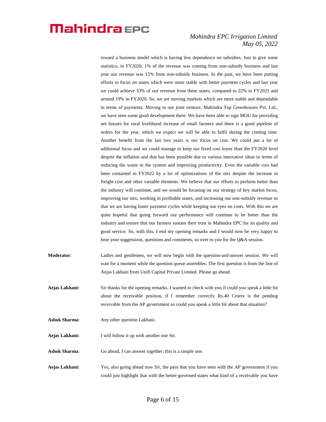### *Mahindra EPC Irrigation Limited May 05, 2022*

toward a business model which is having less dependence on subsidies. Just to give some statistics, in FY2020, 1% of the revenue was coming from non-subsidy business and last year our revenue was 15% from non-subsidy business. In the past, we have been putting efforts to focus on states which were more stable with better payment cycles and last year we could achieve 33% of our revenue from these states, compared to 22% in FY2021 and around 19% in FY2020. So, we are moving markets which are more stable and dependable in terms of payments. Moving to our joint venture, Mahindra Top Greenhouses Pvt. Ltd., we have seen some good development there. We have been able to sign MOU for providing net houses for rural livelihood increase of small farmers and there is a good pipeline of orders for the year, which we expect we will be able to fulfil during the coming time. Another benefit from the last two years is our focus on cost. We could put a lot of additional focus and we could manage to keep our fixed cost lower than the FY2020 level despite the inflation and that has been possible due to various innovative ideas in terms of reducing the waste in the system and improving productivity. Even the variable cost had been contained in FY2022 by a lot of optimizations of the mix despite the increase in freight cost and other variable elements. We believe that our efforts to perform better than the industry will continue, and we would be focusing on our strategy of key market focus, improving our mix, working in profitable states, and increasing our non-subsidy revenue so that we are having faster payment cycles while keeping our eyes on costs. With this we are quite hopeful that going forward our performance will continue to be better than the industry and ensure that our farmers sustain their trust in Mahindra EPC for its quality and good service. So, with this, I end my opening remarks and I would now be very happy to hear your suggestions, questions and comments, so over to you for the Q&A session.

- **Moderator**: Ladies and gentlemen, we will now begin with the question-and-answer session. We will wait for a moment while the question queue assembles. The first question is from the line of Aejas Lakhani from Unifi Capital Private Limited. Please go ahead.
- **Aejas Lakhani:** Sir thanks for the opening remarks. I wanted to check with you if could you speak a little bit about the receivable position, if I remember correctly Rs.40 Crores is the pending receivable from the AP government so could you speak a little bit about that situation?
- **Ashok Sharma**: Any other question Lakhani.
- **Aejas Lakhani:** I will follow it up with another one Sir.
- **Ashok Sharma**: Go ahead, I can answer together; this is a simple one.
- **Aejas Lakhani:** Yes, also going ahead now Sir, the pain that you have seen with the AP government if you could just highlight that with the better-governed states what kind of a receivable you have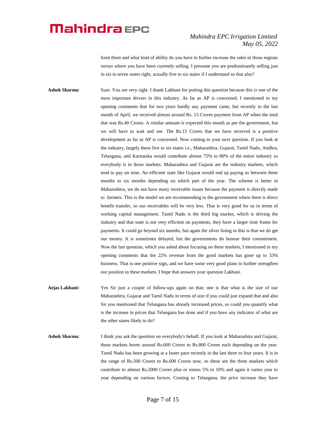#### *Mahindra EPC Irrigation Limited May 05, 2022*

from them and what kind of ability do you have to further increase the sales in those regions versus where you have been currently selling. I presume you are predominantly selling just in six to seven states right, actually five to six states if I understand so that also?

**Ashok Sharma:** Sure. You are very right. I thank Lakhani for putting this question because this is one of the most important drivers in this industry. As far as AP is concerned, I mentioned in my opening comments that for two years hardly any payment came, but recently in the last month of April, we received almost around Rs. 15 Crores payment from AP when the total due was Rs.40 Crores. A similar amount is expected this month as per the government, but we will have to wait and see. The Rs.15 Crores that we have received is a positive development as far as AP is concerned. Now coming to your next question. If you look at the industry, largely these five to six states i.e., Maharashtra, Gujarat, Tamil Nadu, Andhra, Telangana, and Karnataka would contribute almost 75% to 80% of the entire industry so everybody is in those markets. Maharashtra and Gujarat are the industry markets, which tend to pay on time. An efficient state like Gujarat would end up paying us between three months to six months depending on which part of the year. The scheme is better in Maharashtra, we do not have many receivable issues because the payment is directly made to farmers. This is the model we are recommending to the government where there is direct benefit transfer, so our receivables will be very less. That is very good for us in terms of working capital management. Tamil Nadu is the third big market, which is driving the industry and that state is not very efficient on payments, they have a larger time frame for payments. It could go beyond six months, but again the silver lining in this is that we do get our money. It is sometimes delayed, but the governments do honour their commitment. Now the last question, which you asked about focusing on these markets, I mentioned in my opening comments that the 22% revenue from the good markets has gone up to 33% business. That is one positive sign, and we have some very good plans to further strengthen our position in these markets. I hope that answers your question Lakhani.

**Aejas Lakhani:** Yes Sir just a couple of follow-ups again on that; one is that what is the size of our Maharashtra, Gujarat and Tamil Nadu in terms of size if you could just expand that and also Sir you mentioned that Telangana has already increased prices, so could you quantify what is the increase in prices that Telangana has done and if you have any indicator of what are the other states likely to do?

**Ashok Sharma**: I think you ask the question on everybody's behalf. If you look at Maharashtra and Gujarat, these markets hover around Rs.600 Crores to Rs.800 Crores each depending on the year. Tamil Nadu has been growing at a faster pace recently in the last three to four years. It is in the range of Rs.500 Crores to Rs.600 Crores now, so these are the three markets which contribute to almost Rs.2000 Crores plus or minus 5% to 10% and again it varies year to year depending on various factors. Coming to Telangana, the price increase they have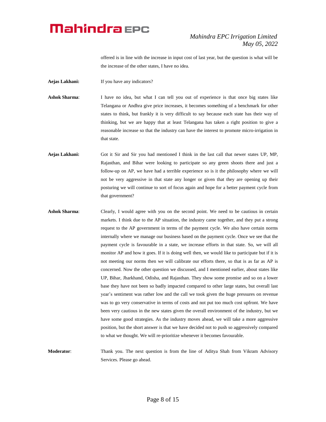### *Mahindra EPC Irrigation Limited May 05, 2022*

offered is in line with the increase in input cost of last year, but the question is what will be the increase of the other states, I have no idea.

**Aejas Lakhani:** If you have any indicators?

**Ashok Sharma**: I have no idea, but what I can tell you out of experience is that once big states like Telangana or Andhra give price increases, it becomes something of a benchmark for other states to think, but frankly it is very difficult to say because each state has their way of thinking, but we are happy that at least Telangana has taken a right position to give a reasonable increase so that the industry can have the interest to promote micro-irrigation in that state.

**Aejas Lakhani:** Got it Sir and Sir you had mentioned I think in the last call that newer states UP, MP, Rajasthan, and Bihar were looking to participate so any green shoots there and just a follow-up on AP, we have had a terrible experience so is it the philosophy where we will not be very aggressive in that state any longer or given that they are opening up their posturing we will continue to sort of focus again and hope for a better payment cycle from that government?

**Ashok Sharma:** Clearly, I would agree with you on the second point. We need to be cautious in certain markets. I think due to the AP situation, the industry came together, and they put a strong request to the AP government in terms of the payment cycle. We also have certain norms internally where we manage our business based on the payment cycle. Once we see that the payment cycle is favourable in a state, we increase efforts in that state. So, we will all monitor AP and how it goes. If it is doing well then, we would like to participate but if it is not meeting our norms then we will calibrate our efforts there, so that is as far as AP is concerned. Now the other question we discussed, and I mentioned earlier, about states like UP, Bihar, Jharkhand, Odisha, and Rajasthan. They show some promise and so on a lower base they have not been so badly impacted compared to other large states, but overall last year's sentiment was rather low and the call we took given the huge pressures on revenue was to go very conservative in terms of costs and not put too much cost upfront. We have been very cautious in the new states given the overall environment of the industry, but we have some good strategies. As the industry moves ahead, we will take a more aggressive position, but the short answer is that we have decided not to push so aggressively compared to what we thought. We will re-prioritize whenever it becomes favourable.

**Moderator:** Thank you. The next question is from the line of Aditya Shah from Vikram Advisory Services. Please go ahead.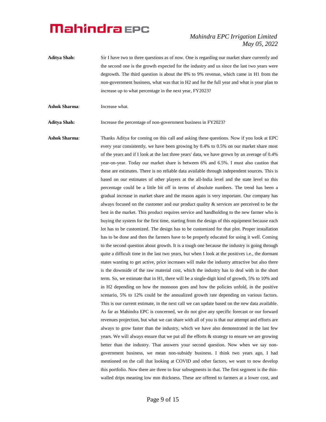### *Mahindra EPC Irrigation Limited May 05, 2022*

- Aditya Shah: Sir I have two to three questions as of now. One is regarding our market share currently and the second one is the growth expected for the industry and us since the last two years were degrowth. The third question is about the 8% to 9% revenue, which came in H1 from the non-government business, what was that in H2 and for the full year and what is your plan to increase up to what percentage in the next year, FY2023?
- **Ashok Sharma**: Increase what.

**Aditya Shah:** Increase the percentage of non-government business in FY2023?

**Ashok Sharma**: Thanks Aditya for coming on this call and asking these questions. Now if you look at EPC every year consistently, we have been growing by 0.4% to 0.5% on our market share most of the years and if I look at the last three years' data, we have grown by an average of 0.4% year-on-year. Today our market share is between 6% and 6.5%. I must also caution that these are estimates. There is no reliable data available through independent sources. This is based on our estimates of other players at the all-India level and the state level so this percentage could be a little bit off in terms of absolute numbers. The trend has been a gradual increase in market share and the reason again is very important. Our company has always focused on the customer and our product quality & services are perceived to be the best in the market. This product requires service and handholding to the new farmer who is buying the system for the first time, starting from the design of this equipment because each lot has to be customized. The design has to be customized for that plot. Proper installation has to be done and then the farmers have to be properly educated for using it well. Coming to the second question about growth. It is a tough one because the industry is going through quite a difficult time in the last two years, but when I look at the positives i.e., the dormant states wanting to get active, price increases will make the industry attractive but also there is the downside of the raw material cost, which the industry has to deal with in the short term. So, we estimate that in H1, there will be a single-digit kind of growth, 5% to 10% and in H2 depending on how the monsoon goes and how the policies unfold, in the positive scenario, 5% to 12% could be the annualized growth rate depending on various factors. This is our current estimate, in the next call we can update based on the new data available. As far as Mahindra EPC is concerned, we do not give any specific forecast or our forward revenues projection, but what we can share with all of you is that our attempt and efforts are always to grow faster than the industry, which we have also demonstrated in the last few years. We will always ensure that we put all the efforts & strategy to ensure we are growing better than the industry. That answers your second question. Now when we say nongovernment business, we mean non-subsidy business. I think two years ago, I had mentioned on the call that looking at COVID and other factors, we want to now develop this portfolio. Now there are three to four subsegments in that. The first segment is the thinwalled drips meaning low mm thickness. These are offered to farmers at a lower cost, and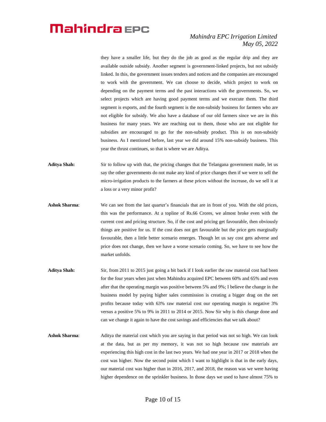#### *Mahindra EPC Irrigation Limited May 05, 2022*

they have a smaller life, but they do the job as good as the regular drip and they are available outside subsidy. Another segment is government-linked projects, but not subsidy linked. In this, the government issues tenders and notices and the companies are encouraged to work with the government. We can choose to decide, which project to work on depending on the payment terms and the past interactions with the governments. So, we select projects which are having good payment terms and we execute them. The third segment is exports, and the fourth segment is the non-subsidy business for farmers who are not eligible for subsidy. We also have a database of our old farmers since we are in this business for many years. We are reaching out to them, those who are not eligible for subsidies are encouraged to go for the non-subsidy product. This is on non-subsidy business. As I mentioned before, last year we did around 15% non-subsidy business. This year the thrust continues, so that is where we are Aditya.

Aditya Shah: Sir to follow up with that, the pricing changes that the Telangana government made, let us say the other governments do not make any kind of price changes then if we were to sell the micro-irrigation products to the farmers at these prices without the increase, do we sell it at a loss or a very minor profit?

- **Ashok Sharma**: We can see from the last quarter's financials that are in front of you. With the old prices, this was the performance. At a topline of Rs.66 Crores, we almost broke even with the current cost and pricing structure. So, if the cost and pricing get favourable, then obviously things are positive for us. If the cost does not get favourable but the price gets marginally favourable, then a little better scenario emerges. Though let us say cost gets adverse and price does not change, then we have a worse scenario coming. So, we have to see how the market unfolds.
- **Aditya Shah:** Sir, from 2011 to 2015 just going a bit back if I look earlier the raw material cost had been for the four years when just when Mahindra acquired EPC between 60% and 65% and even after that the operating margin was positive between 5% and 9%; I believe the change in the business model by paying higher sales commission is creating a bigger drag on the net profits because today with 63% raw material cost our operating margin is negative 3% versus a positive 5% to 9% in 2011 to 2014 or 2015. Now Sir why is this change done and can we change it again to have the cost savings and efficiencies that we talk about?
- Ashok Sharma: Aditya the material cost which you are saying in that period was not so high. We can look at the data, but as per my memory, it was not so high because raw materials are experiencing this high cost in the last two years. We had one year in 2017 or 2018 when the cost was higher. Now the second point which I want to highlight is that in the early days, our material cost was higher than in 2016, 2017, and 2018, the reason was we were having higher dependence on the sprinkler business. In those days we used to have almost 75% to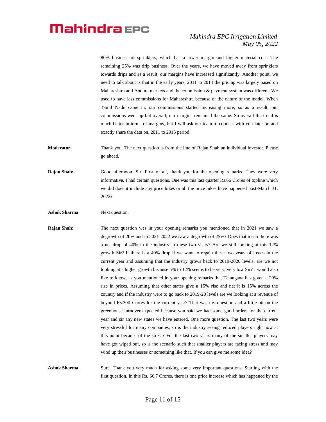#### *Mahindra EPC Irrigation Limited May 05, 2022*

80% business of sprinklers, which has a lower margin and higher material cost. The remaining 25% was drip business. Over the years, we have moved away from sprinklers towards drips and as a result, our margins have increased significantly. Another point, we need to talk about is that in the early years, 2011 to 2014 the pricing was largely based on Maharashtra and Andhra markets and the commission & payment system was different. We used to have less commissions for Maharashtra because of the nature of the model. When Tamil Nadu came in, our commissions started increasing more, so as a result, our commissions went up but overall, our margins remained the same. So overall the trend is much better in terms of margins, but I will ask our team to connect with you later on and exactly share the data on, 2011 to 2015 period.

**Moderator**: Thank you. The next question is from the line of Rajan Shah an individual investor. Please go ahead.

**Rajan Shah:** Good afternoon, Sir. First of all, thank you for the opening remarks. They were very informative. I had certain questions. One was this last quarter Rs.66 Crores of topline which we did does it include any price hikes or all the price hikes have happened post-March 31, 2022?

**Ashok Sharma**: Next question.

**Rajan Shah:** The next question was in your opening remarks you mentioned that in 2021 we saw a degrowth of 20% and in 2021-2022 we saw a degrowth of 25%? Does that mean there was a net drop of 40% in the industry in these two years? Are we still looking at this 12% growth Sir? If there is a 40% drop if we want to regain these two years of losses in the current year and assuming that the industry grows back to 2019-2020 levels, are we not looking at a higher growth because 5% to 12% seems to be very, very low Sir? I would also like to know, as you mentioned in your opening remarks that Telangana has given a 20% rise in prices. Assuming that other states give a 15% rise and net it is 15% across the country and if the industry were to go back to 2019-20 levels are we looking at a revenue of beyond Rs.300 Crores for the current year? That was my question and a little bit on the greenhouse turnover expected because you said we had some good orders for the current year and sir any new states we have entered. One more question. The last two years were very stressful for many companies, so is the industry seeing reduced players right now at this point because of the stress? For the last two years many of the smaller players may have got wiped out, so is the scenario such that smaller players are facing stress and may wind up their businesses or something like that. If you can give me some idea?

**Ashok Sharma**: Sure. Thank you very much for asking some very important questions. Starting with the first question. In this Rs. 66.7 Crores, there is one price increase which has happened by the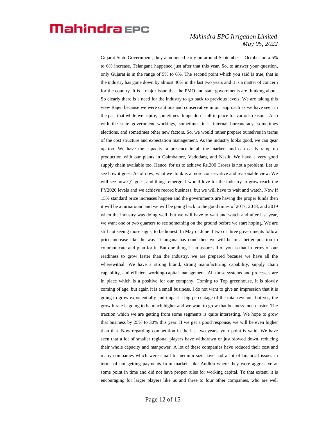### *Mahindra EPC Irrigation Limited May 05, 2022*

Gujarat State Government, they announced early on around September – October on a 5% to 6% increase. Telangana happened just after that this year. So, to answer your question, only Gujarat is in the range of 5% to 6%. The second point which you said is true, that is the industry has gone down by almost 40% in the last two years and it is a matter of concern for the country. It is a major issue that the PMO and state governments are thinking about. So clearly there is a need for the industry to go back to previous levels. We are taking this view Rajen because we were cautious and conservative in our approach as we have seen in the past that while we aspire, sometimes things don't fall in place for various reasons. Also with the state government workings, sometimes it is internal bureaucracy, sometimes elections, and sometimes other new factors. So, we would rather prepare ourselves in terms of the cost structure and expectation management. As the industry looks good, we can gear up too. We have the capacity, a presence in all the markets and can easily ramp up production with our plants in Coimbatore, Vadodara, and Nasik. We have a very good supply chain available too. Hence, for us to achieve Rs.300 Crores is not a problem. Let us see how it goes. As of now, what we think is a more conservative and reasonable view. We will see how Q1 goes, and things emerge. I would love for the industry to grow reach the FY2020 levels and we achieve record business, but we will have to wait and watch. Now if 15% standard price increases happen and the governments are having the proper funds then it will be a turnaround and we will be going back to the good times of 2017, 2018, and 2019 when the industry was doing well, but we will have to wait and watch and after last year, we want one or two quarters to see something on the ground before we start hoping. We are still not seeing those signs, to be honest. In May or June if two or three governments follow price increase like the way Telangana has done then we will be in a better position to communicate and plan for it. But one thing I can assure all of you is that in terms of our readiness to grow faster than the industry, we are prepared because we have all the wherewithal. We have a strong brand, strong manufacturing capability, supply chain capability, and efficient working-capital management. All those systems and processes are in place which is a positive for our company. Coming to Top greenhouse, it is slowly coming of age, but again it is a small business. I do not want to give an impression that it is going to grow exponentially and impact a big percentage of the total revenue, but yes, the growth rate is going to be much higher and we want to grow that business much faster. The traction which we are getting from some segments is quite interesting. We hope to grow that business by 25% to 30% this year. If we get a good response, we will be even higher than that. Now regarding competition in the last two years, your point is valid. We have seen that a lot of smaller regional players have withdrawn or just slowed down, reducing their whole capacity and manpower. A lot of these companies have reduced their cost and many companies which were small to medium size have had a lot of financial issues in terms of not getting payments from markets like Andhra where they were aggressive at some point in time and did not have proper rules for working capital. To that extent, it is encouraging for larger players like us and three to four other companies, who are well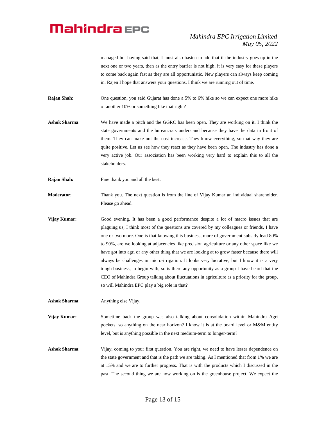### *Mahindra EPC Irrigation Limited May 05, 2022*

managed but having said that, I must also hasten to add that if the industry goes up in the next one or two years, then as the entry barrier is not high, it is very easy for these players to come back again fast as they are all opportunistic. New players can always keep coming in. Rajen I hope that answers your questions. I think we are running out of time.

**Rajan Shah:** One question, you said Gujarat has done a 5% to 6% hike so we can expect one more hike of another 10% or something like that right?

- **Ashok Sharma**: We have made a pitch and the GGRC has been open. They are working on it. I think the state governments and the bureaucrats understand because they have the data in front of them. They can make out the cost increase. They know everything, so that way they are quite positive. Let us see how they react as they have been open. The industry has done a very active job. Our association has been working very hard to explain this to all the stakeholders.
- **Rajan Shah:** Fine thank you and all the best.

**Moderator**: Thank you. The next question is from the line of Vijay Kumar an individual shareholder. Please go ahead.

**Vijay Kumar:** Good evening. It has been a good performance despite a lot of macro issues that are plaguing us, I think most of the questions are covered by my colleagues or friends, I have one or two more. One is that knowing this business, more of government subsidy lead 80% to 90%, are we looking at adjacencies like precision agriculture or any other space like we have got into agri or any other thing that we are looking at to grow faster because there will always be challenges in micro-irrigation. It looks very lucrative, but I know it is a very tough business, to begin with, so is there any opportunity as a group I have heard that the CEO of Mahindra Group talking about fluctuations in agriculture as a priority for the group, so will Mahindra EPC play a big role in that?

**Ashok Sharma**: Anything else Vijay.

**Vijay Kumar:** Sometime back the group was also talking about consolidation within Mahindra Agri pockets, so anything on the near horizon? I know it is at the board level or M&M entity level, but is anything possible in the next medium-term to longer-term?

**Ashok Sharma**: Vijay, coming to your first question. You are right, we need to have lesser dependence on the state government and that is the path we are taking. As I mentioned that from 1% we are at 15% and we are to further progress. That is with the products which I discussed in the past. The second thing we are now working on is the greenhouse project. We expect the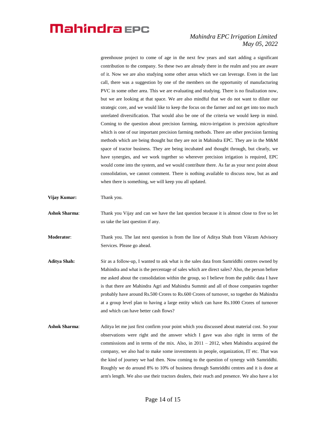### *Mahindra EPC Irrigation Limited May 05, 2022*

greenhouse project to come of age in the next few years and start adding a significant contribution to the company. So these two are already there in the realm and you are aware of it. Now we are also studying some other areas which we can leverage. Even in the last call, there was a suggestion by one of the members on the opportunity of manufacturing PVC in some other area. This we are evaluating and studying. There is no finalization now, but we are looking at that space. We are also mindful that we do not want to dilute our strategic core, and we would like to keep the focus on the farmer and not get into too much unrelated diversification. That would also be one of the criteria we would keep in mind. Coming to the question about precision farming, micro-irrigation is precision agriculture which is one of our important precision farming methods. There are other precision farming methods which are being thought but they are not in Mahindra EPC. They are in the M&M space of tractor business. They are being incubated and thought through, but clearly, we have synergies, and we work together so wherever precision irrigation is required, EPC would come into the system, and we would contribute there. As far as your next point about consolidation, we cannot comment. There is nothing available to discuss now, but as and when there is something, we will keep you all updated.

| Vijay Kumar:         | Thank you.                                                                                                                                                                                                                                                                                                                                                                                                                                                                                                                                                                                                                                                      |
|----------------------|-----------------------------------------------------------------------------------------------------------------------------------------------------------------------------------------------------------------------------------------------------------------------------------------------------------------------------------------------------------------------------------------------------------------------------------------------------------------------------------------------------------------------------------------------------------------------------------------------------------------------------------------------------------------|
| Ashok Sharma:        | Thank you Vijay and can we have the last question because it is almost close to five so let<br>us take the last question if any.                                                                                                                                                                                                                                                                                                                                                                                                                                                                                                                                |
| <b>Moderator:</b>    | Thank you. The last next question is from the line of Aditya Shah from Vikram Advisory<br>Services. Please go ahead.                                                                                                                                                                                                                                                                                                                                                                                                                                                                                                                                            |
| Aditya Shah:         | Sir as a follow-up, I wanted to ask what is the sales data from Samriddhi centres owned by<br>Mahindra and what is the percentage of sales which are direct sales? Also, the person before<br>me asked about the consolidation within the group, so I believe from the public data I have<br>is that there are Mahindra Agri and Mahindra Summit and all of those companies together<br>probably have around Rs.500 Crores to Rs.600 Crores of turnover, so together do Mahindra<br>at a group level plan to having a large entity which can have Rs.1000 Crores of turnover<br>and which can have better cash flows?                                           |
| <b>Ashok Sharma:</b> | Aditya let me just first confirm your point which you discussed about material cost. So your<br>observations were right and the answer which I gave was also right in terms of the<br>commissions and in terms of the mix. Also, in $2011 - 2012$ , when Mahindra acquired the<br>company, we also had to make some investments in people, organization, IT etc. That was<br>the kind of journey we had then. Now coming to the question of synergy with Samriddhi.<br>Roughly we do around 8% to 10% of business through Samriddhi centres and it is done at<br>arm's length. We also use their tractors dealers, their reach and presence. We also have a lot |